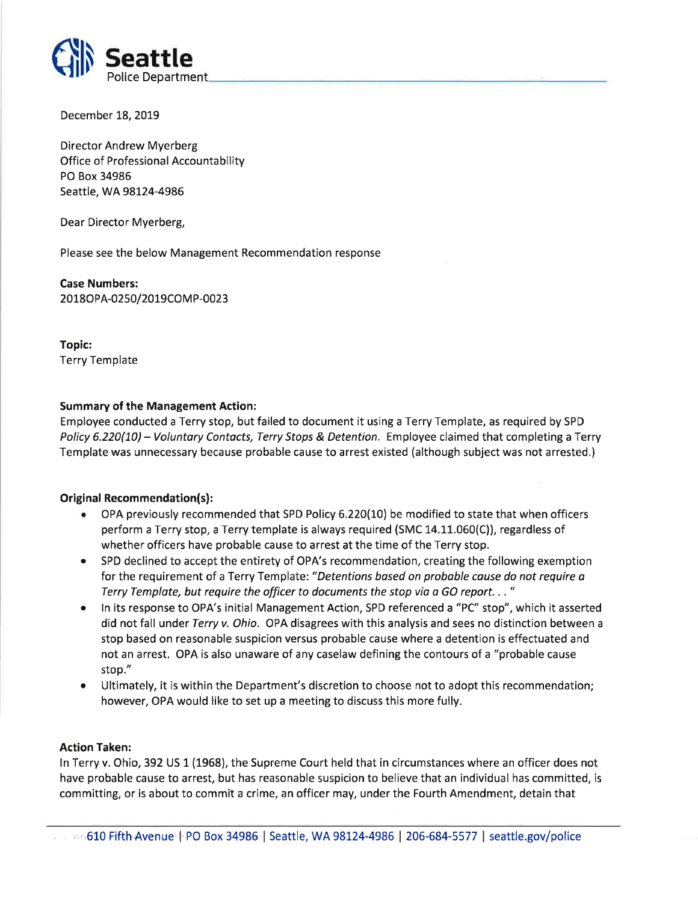

December 18, 2019

Director Andrew Myerberg Office of Professional Accountability PO Box 34986 Seattle, WA 98124-4986

Dear Director Myerberg,

Please see the below Management Recommendation response

Case Numbers: 2018OPA-0250/2019COMP-0023

Topic: Terry Template

## Summary of the Management Action:

Employee conducted a Terry stop, but failed to document it using a Terry Template, as required by SPD Policy 6.220(10) - Voluntary Contacts, Terry Stops & Detention. Employee claimed that completing a Terry Template was unnecessary because probable cause to arrest existed (although subject was not arrested,)

## Original Recommendation(s):

- o OPA previously recommended that SPD Policy 6.220(10) be modified to state that when officers perform a Terry stop, a Terry template is always required (SMC 14.11.060(C)), regardless of whether officers have probable cause to arrest at the time of the Terry stop.
- SPD declined to accept the entirety of OPA's recommendation, creating the following exemption for the requirement of a Terry Template: "Detentions based on probable cause do not require a Terry Template, but require the officer to documents the stop vio a GO report. . . "
- In its response to OPA's initial Management Action, SPD referenced a "PC" stop", which it asserted did not fall under Terry v. Ohio. OPA disagrees with this analysis and sees no distinction between a stop based on reasonable suspicion versus probable cause where a detention is effectuated and not an arrest. OPA is also unaware of any caselaw defining the contours of a "probable cause stop."
- Ultimately, it is within the Department's discretion to choose not to adopt this recommendation; however, OPA would like to set up a meeting to discuss this more fully.

## Action Taken:

ln Terry v. Ohio, 392 US 1 (L968), the Supreme Court held that in circumstances where an officer does not have probable cause to arrest, but has reasonable suspicion to believe that an individual has committed, is committing, or is about to commit a crime, an officer may, under the Fourth Amendment, detain that